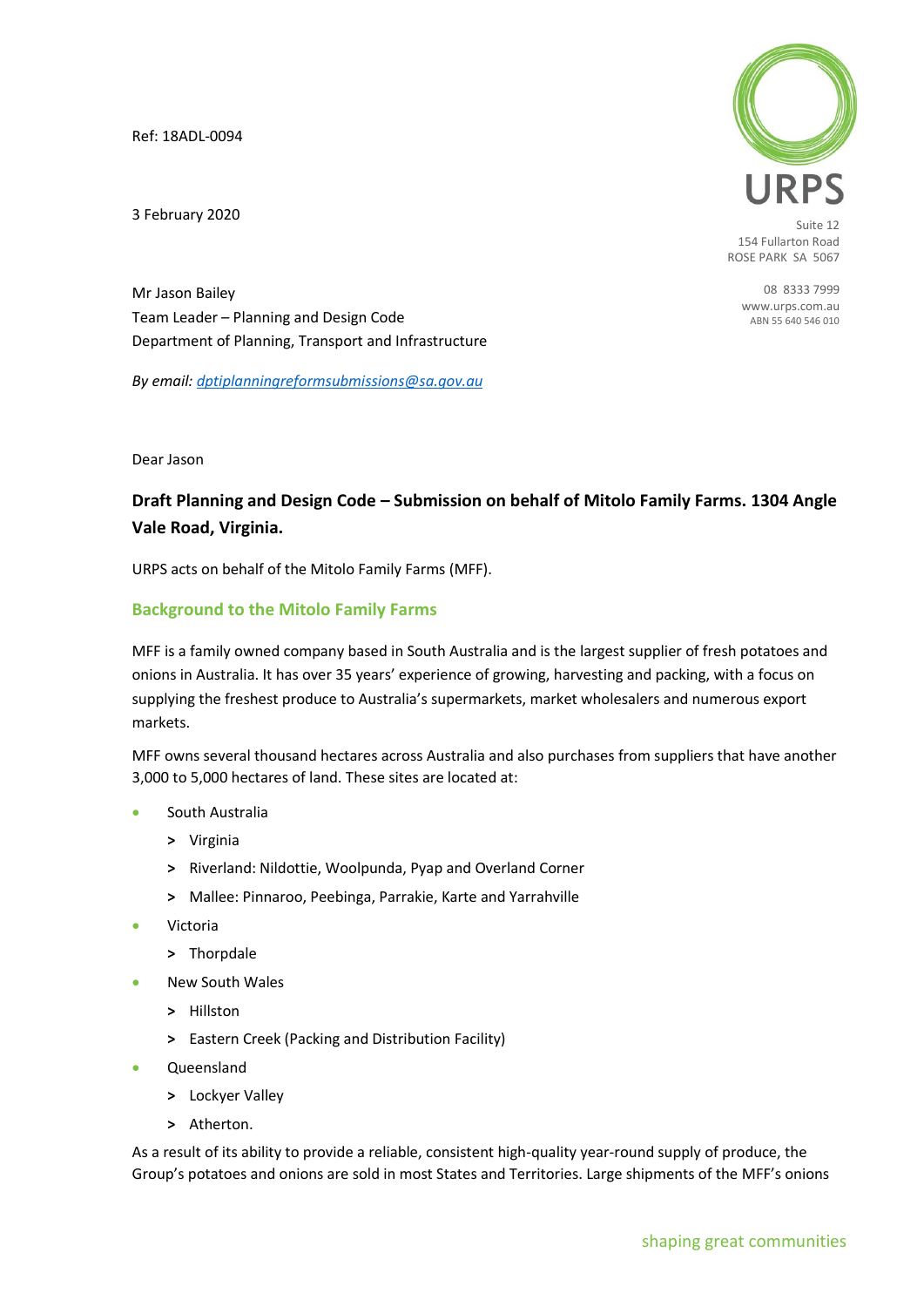Ref: 18ADL-0094

3 February 2020



Suite 12 154 Fullarton Road ROSE PARK SA 5067

> 08 8333 7999 [www.urps.com.au](http://www.urps.com.au/) ABN 55 640 546 010

Mr Jason Bailey Team Leader – Planning and Design Code Department of Planning, Transport and Infrastructure

*By email[: dptiplanningreformsubmissions@sa.gov.au](mailto:dptiplanningreformsubmissions@sa.gov.au)*

Dear Jason

# **Draft Planning and Design Code – Submission on behalf of Mitolo Family Farms. 1304 Angle Vale Road, Virginia.**

URPS acts on behalf of the Mitolo Family Farms (MFF).

# **Background to the Mitolo Family Farms**

MFF is a family owned company based in South Australia and is the largest supplier of fresh potatoes and onions in Australia. It has over 35 years' experience of growing, harvesting and packing, with a focus on supplying the freshest produce to Australia's supermarkets, market wholesalers and numerous export markets.

MFF owns several thousand hectares across Australia and also purchases from suppliers that have another 3,000 to 5,000 hectares of land. These sites are located at:

- South Australia
	- **>** Virginia
	- **>** Riverland: Nildottie, Woolpunda, Pyap and Overland Corner
	- **>** Mallee: Pinnaroo, Peebinga, Parrakie, Karte and Yarrahville
- **Victoria** 
	- **>** Thorpdale
- New South Wales
	- **>** Hillston
	- **>** Eastern Creek (Packing and Distribution Facility)
- Queensland
	- **>** Lockyer Valley
	- **>** Atherton.

As a result of its ability to provide a reliable, consistent high-quality year-round supply of produce, the Group's potatoes and onions are sold in most States and Territories. Large shipments of the MFF's onions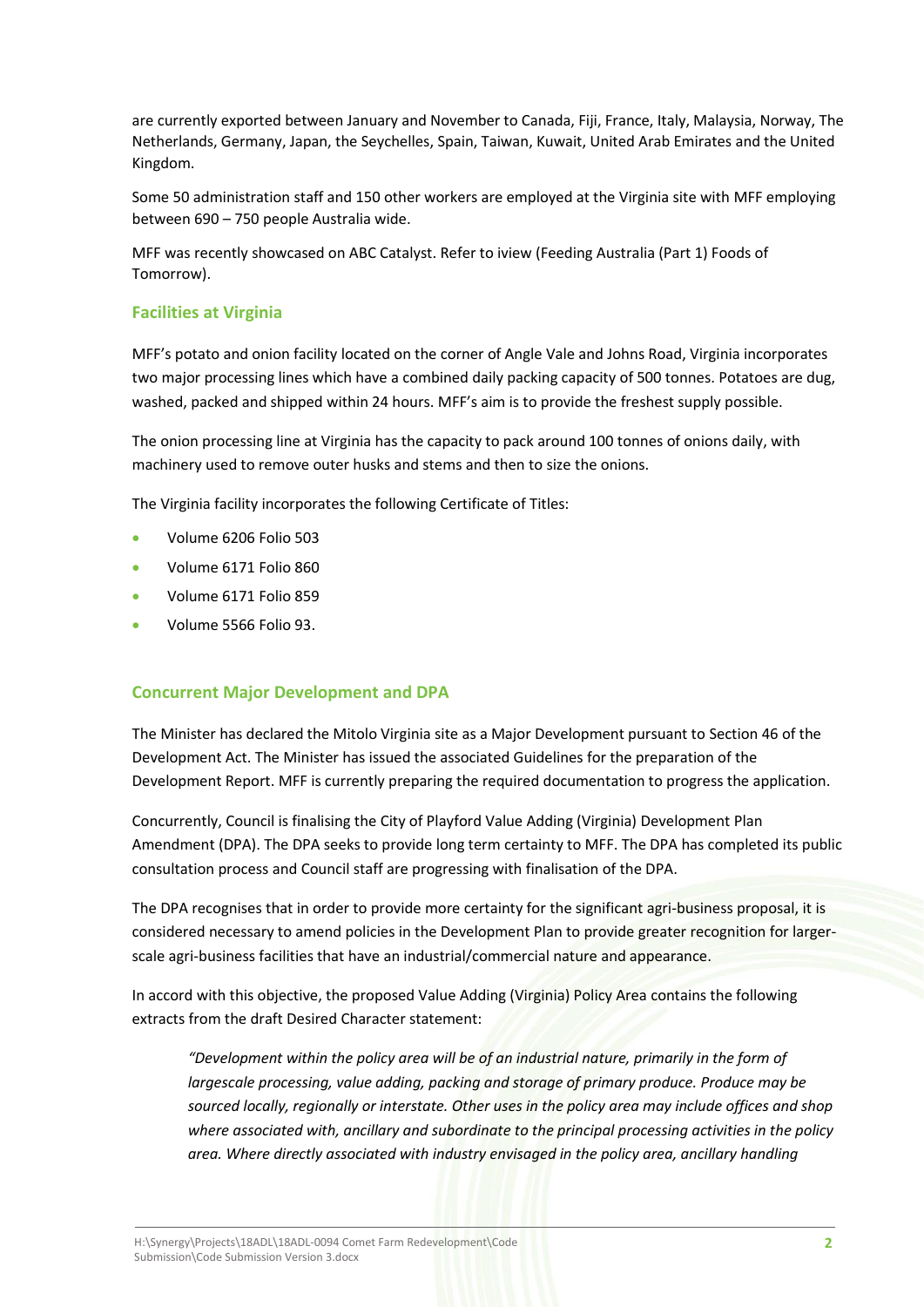are currently exported between January and November to Canada, Fiji, France, Italy, Malaysia, Norway, The Netherlands, Germany, Japan, the Seychelles, Spain, Taiwan, Kuwait, United Arab Emirates and the United Kingdom.

Some 50 administration staff and 150 other workers are employed at the Virginia site with MFF employing between 690 – 750 people Australia wide.

MFF was recently showcased on ABC Catalyst. Refer to iview (Feeding Australia (Part 1) Foods of Tomorrow).

# **Facilities at Virginia**

MFF's potato and onion facility located on the corner of Angle Vale and Johns Road, Virginia incorporates two major processing lines which have a combined daily packing capacity of 500 tonnes. Potatoes are dug, washed, packed and shipped within 24 hours. MFF's aim is to provide the freshest supply possible.

The onion processing line at Virginia has the capacity to pack around 100 tonnes of onions daily, with machinery used to remove outer husks and stems and then to size the onions.

The Virginia facility incorporates the following Certificate of Titles:

- Volume 6206 Folio 503
- Volume 6171 Folio 860
- Volume 6171 Folio 859
- Volume 5566 Folio 93.

# **Concurrent Major Development and DPA**

The Minister has declared the Mitolo Virginia site as a Major Development pursuant to Section 46 of the Development Act. The Minister has issued the associated Guidelines for the preparation of the Development Report. MFF is currently preparing the required documentation to progress the application.

Concurrently, Council is finalising the City of Playford Value Adding (Virginia) Development Plan Amendment (DPA). The DPA seeks to provide long term certainty to MFF. The DPA has completed its public consultation process and Council staff are progressing with finalisation of the DPA.

The DPA recognises that in order to provide more certainty for the significant agri-business proposal, it is considered necessary to amend policies in the Development Plan to provide greater recognition for largerscale agri-business facilities that have an industrial/commercial nature and appearance.

In accord with this objective, the proposed Value Adding (Virginia) Policy Area contains the following extracts from the draft Desired Character statement:

*"Development within the policy area will be of an industrial nature, primarily in the form of largescale processing, value adding, packing and storage of primary produce. Produce may be sourced locally, regionally or interstate. Other uses in the policy area may include offices and shop where associated with, ancillary and subordinate to the principal processing activities in the policy area. Where directly associated with industry envisaged in the policy area, ancillary handling*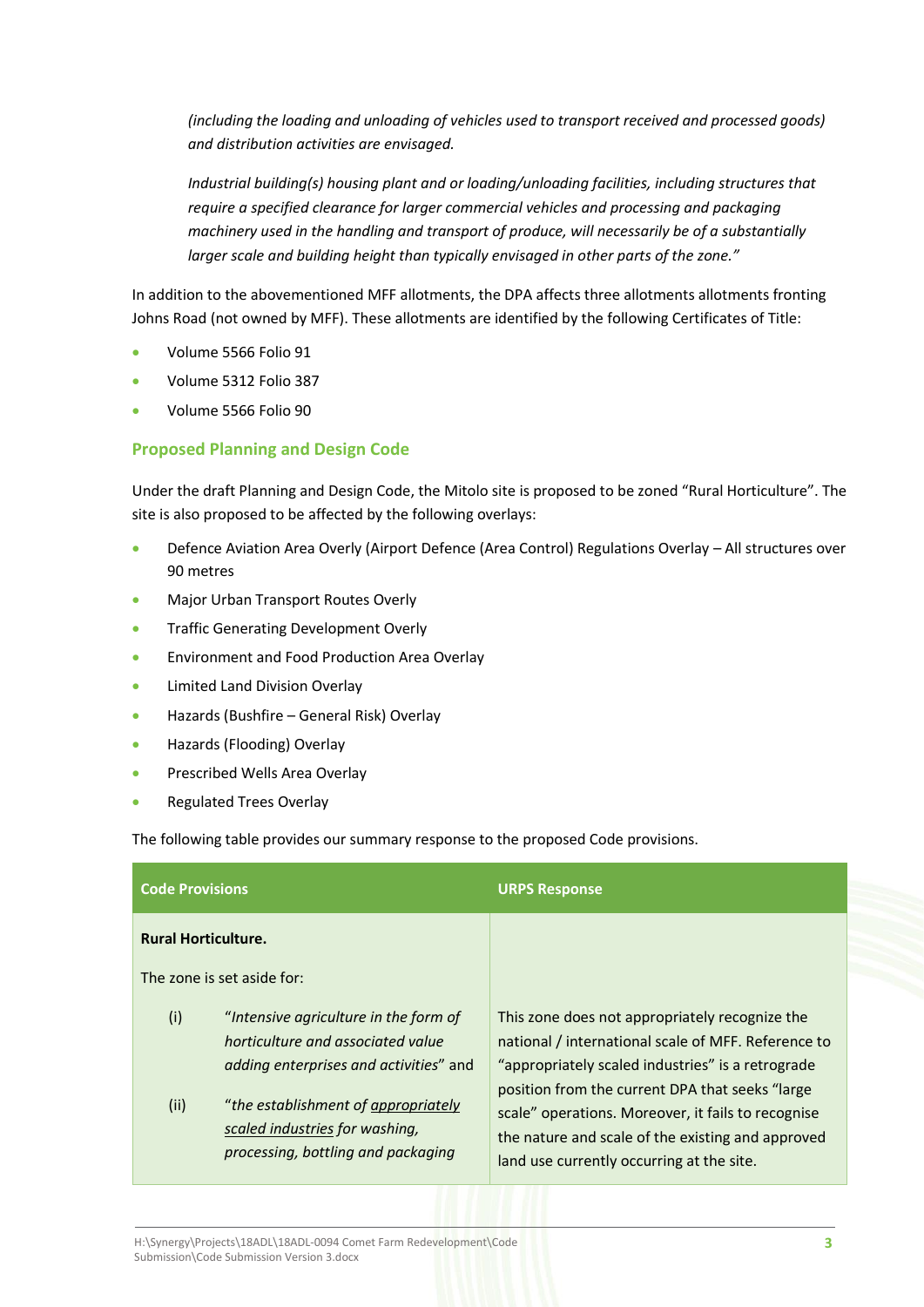*(including the loading and unloading of vehicles used to transport received and processed goods) and distribution activities are envisaged.*

*Industrial building(s) housing plant and or loading/unloading facilities, including structures that require a specified clearance for larger commercial vehicles and processing and packaging machinery used in the handling and transport of produce, will necessarily be of a substantially larger scale and building height than typically envisaged in other parts of the zone."*

In addition to the abovementioned MFF allotments, the DPA affects three allotments allotments fronting Johns Road (not owned by MFF). These allotments are identified by the following Certificates of Title:

- Volume 5566 Folio 91
- Volume 5312 Folio 387
- Volume 5566 Folio 90

# **Proposed Planning and Design Code**

Under the draft Planning and Design Code, the Mitolo site is proposed to be zoned "Rural Horticulture". The site is also proposed to be affected by the following overlays:

- Defence Aviation Area Overly (Airport Defence (Area Control) Regulations Overlay All structures over 90 metres
- Major Urban Transport Routes Overly
- Traffic Generating Development Overly
- Environment and Food Production Area Overlay
- Limited Land Division Overlay
- Hazards (Bushfire General Risk) Overlay
- Hazards (Flooding) Overlay
- Prescribed Wells Area Overlay
- Regulated Trees Overlay

The following table provides our summary response to the proposed Code provisions.

| <b>Code Provisions</b>                                   |                                                                                                                      | <b>URPS Response</b>                                                                                                                                                                                    |
|----------------------------------------------------------|----------------------------------------------------------------------------------------------------------------------|---------------------------------------------------------------------------------------------------------------------------------------------------------------------------------------------------------|
| <b>Rural Horticulture.</b><br>The zone is set aside for: |                                                                                                                      |                                                                                                                                                                                                         |
| (i)                                                      | "Intensive agriculture in the form of<br>horticulture and associated value<br>adding enterprises and activities" and | This zone does not appropriately recognize the<br>national / international scale of MFF. Reference to<br>"appropriately scaled industries" is a retrograde                                              |
| (ii)                                                     | "the establishment of appropriately<br>scaled industries for washing,<br>processing, bottling and packaging          | position from the current DPA that seeks "large<br>scale" operations. Moreover, it fails to recognise<br>the nature and scale of the existing and approved<br>land use currently occurring at the site. |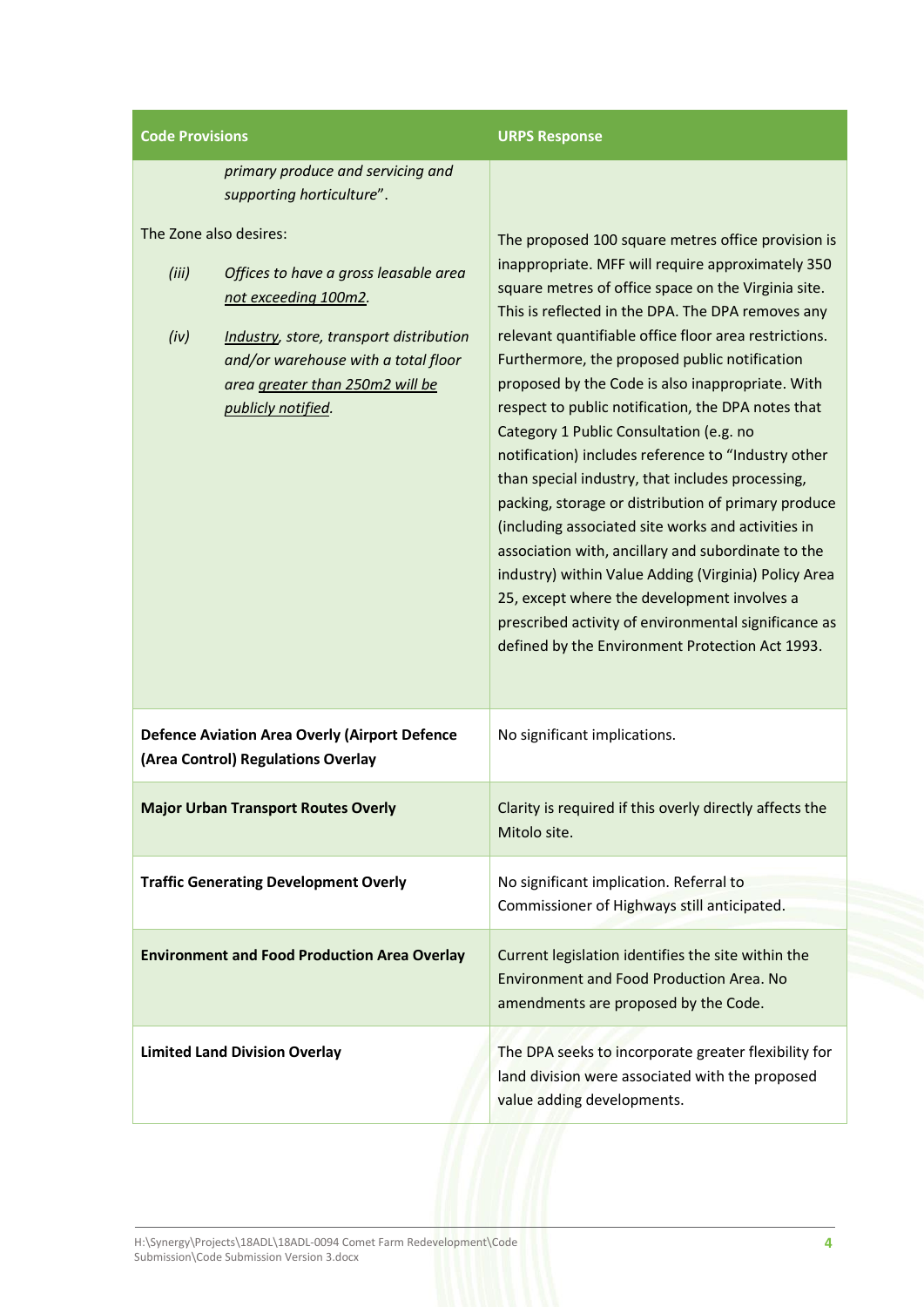| <b>Code Provisions</b>                                                                                                                                                                                                                              | <b>URPS Response</b>                                                                                                                                                                                                                                                                                                                                                                                                                                                                                                                                                                                                                                                                                                                                                                                                                                                                                                                                                               |
|-----------------------------------------------------------------------------------------------------------------------------------------------------------------------------------------------------------------------------------------------------|------------------------------------------------------------------------------------------------------------------------------------------------------------------------------------------------------------------------------------------------------------------------------------------------------------------------------------------------------------------------------------------------------------------------------------------------------------------------------------------------------------------------------------------------------------------------------------------------------------------------------------------------------------------------------------------------------------------------------------------------------------------------------------------------------------------------------------------------------------------------------------------------------------------------------------------------------------------------------------|
| primary produce and servicing and<br>supporting horticulture".                                                                                                                                                                                      |                                                                                                                                                                                                                                                                                                                                                                                                                                                                                                                                                                                                                                                                                                                                                                                                                                                                                                                                                                                    |
| The Zone also desires:<br>(iii)<br>Offices to have a gross leasable area<br>not exceeding 100m2.<br>(iv)<br>Industry, store, transport distribution<br>and/or warehouse with a total floor<br>area greater than 250m2 will be<br>publicly notified. | The proposed 100 square metres office provision is<br>inappropriate. MFF will require approximately 350<br>square metres of office space on the Virginia site.<br>This is reflected in the DPA. The DPA removes any<br>relevant quantifiable office floor area restrictions.<br>Furthermore, the proposed public notification<br>proposed by the Code is also inappropriate. With<br>respect to public notification, the DPA notes that<br>Category 1 Public Consultation (e.g. no<br>notification) includes reference to "Industry other<br>than special industry, that includes processing,<br>packing, storage or distribution of primary produce<br>(including associated site works and activities in<br>association with, ancillary and subordinate to the<br>industry) within Value Adding (Virginia) Policy Area<br>25, except where the development involves a<br>prescribed activity of environmental significance as<br>defined by the Environment Protection Act 1993. |
| <b>Defence Aviation Area Overly (Airport Defence</b><br>(Area Control) Regulations Overlay                                                                                                                                                          | No significant implications.                                                                                                                                                                                                                                                                                                                                                                                                                                                                                                                                                                                                                                                                                                                                                                                                                                                                                                                                                       |
| <b>Major Urban Transport Routes Overly</b>                                                                                                                                                                                                          | Clarity is required if this overly directly affects the<br>Mitolo site.                                                                                                                                                                                                                                                                                                                                                                                                                                                                                                                                                                                                                                                                                                                                                                                                                                                                                                            |
| <b>Traffic Generating Development Overly</b>                                                                                                                                                                                                        | No significant implication. Referral to<br>Commissioner of Highways still anticipated.                                                                                                                                                                                                                                                                                                                                                                                                                                                                                                                                                                                                                                                                                                                                                                                                                                                                                             |
| <b>Environment and Food Production Area Overlay</b>                                                                                                                                                                                                 | Current legislation identifies the site within the<br><b>Environment and Food Production Area. No</b><br>amendments are proposed by the Code.                                                                                                                                                                                                                                                                                                                                                                                                                                                                                                                                                                                                                                                                                                                                                                                                                                      |
| <b>Limited Land Division Overlay</b>                                                                                                                                                                                                                | The DPA seeks to incorporate greater flexibility for<br>land division were associated with the proposed<br>value adding developments.                                                                                                                                                                                                                                                                                                                                                                                                                                                                                                                                                                                                                                                                                                                                                                                                                                              |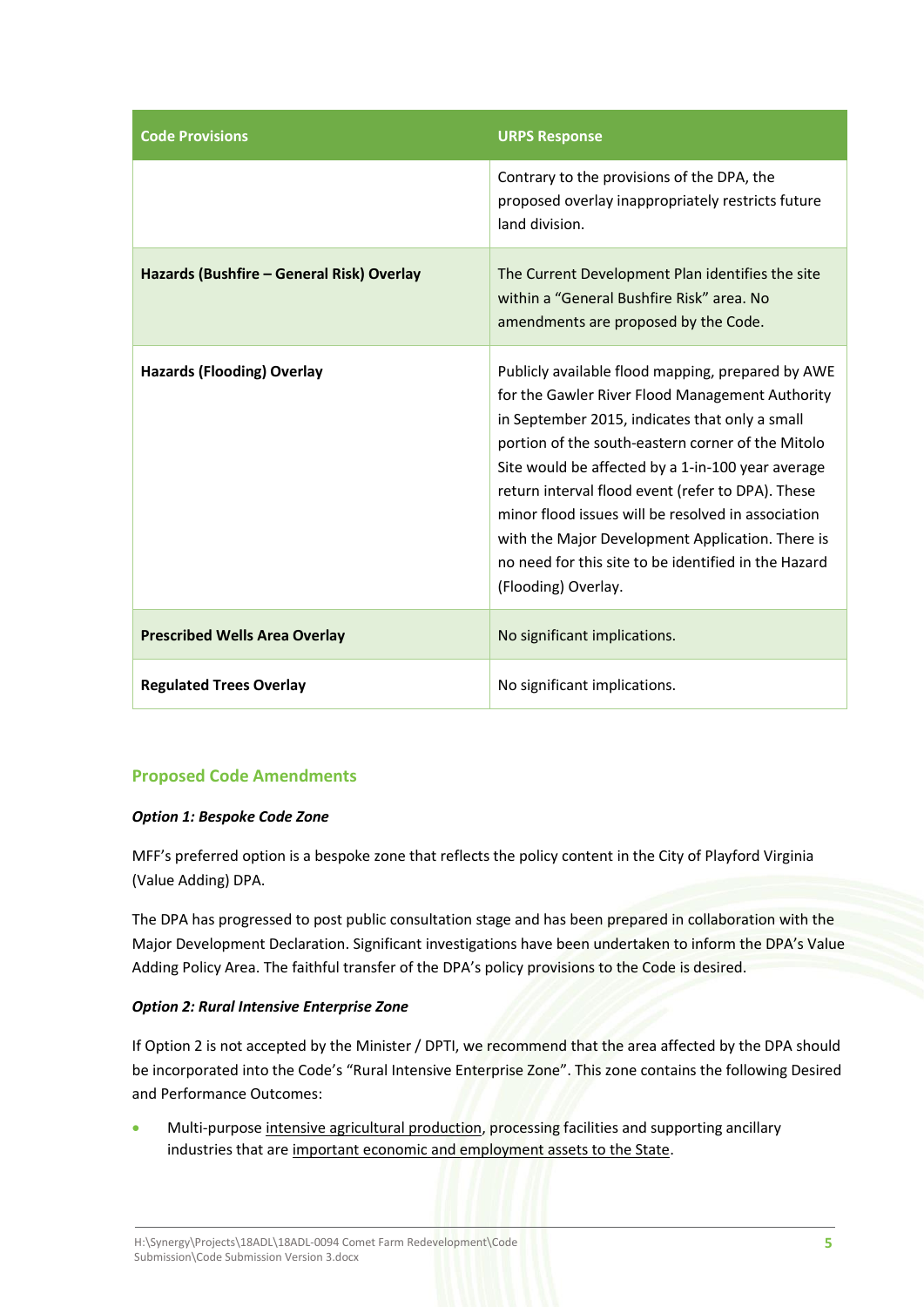| <b>Code Provisions</b>                    | <b>URPS Response</b>                                                                                                                                                                                                                                                                                                                                                                                                                                                                                           |
|-------------------------------------------|----------------------------------------------------------------------------------------------------------------------------------------------------------------------------------------------------------------------------------------------------------------------------------------------------------------------------------------------------------------------------------------------------------------------------------------------------------------------------------------------------------------|
|                                           | Contrary to the provisions of the DPA, the<br>proposed overlay inappropriately restricts future<br>land division.                                                                                                                                                                                                                                                                                                                                                                                              |
| Hazards (Bushfire - General Risk) Overlay | The Current Development Plan identifies the site<br>within a "General Bushfire Risk" area. No<br>amendments are proposed by the Code.                                                                                                                                                                                                                                                                                                                                                                          |
| <b>Hazards (Flooding) Overlay</b>         | Publicly available flood mapping, prepared by AWE<br>for the Gawler River Flood Management Authority<br>in September 2015, indicates that only a small<br>portion of the south-eastern corner of the Mitolo<br>Site would be affected by a 1-in-100 year average<br>return interval flood event (refer to DPA). These<br>minor flood issues will be resolved in association<br>with the Major Development Application. There is<br>no need for this site to be identified in the Hazard<br>(Flooding) Overlay. |
| <b>Prescribed Wells Area Overlay</b>      | No significant implications.                                                                                                                                                                                                                                                                                                                                                                                                                                                                                   |
| <b>Regulated Trees Overlay</b>            | No significant implications.                                                                                                                                                                                                                                                                                                                                                                                                                                                                                   |

# **Proposed Code Amendments**

# *Option 1: Bespoke Code Zone*

MFF's preferred option is a bespoke zone that reflects the policy content in the City of Playford Virginia (Value Adding) DPA.

The DPA has progressed to post public consultation stage and has been prepared in collaboration with the Major Development Declaration. Significant investigations have been undertaken to inform the DPA's Value Adding Policy Area. The faithful transfer of the DPA's policy provisions to the Code is desired.

#### *Option 2: Rural Intensive Enterprise Zone*

If Option 2 is not accepted by the Minister / DPTI, we recommend that the area affected by the DPA should be incorporated into the Code's "Rural Intensive Enterprise Zone". This zone contains the following Desired and Performance Outcomes:

Multi-purpose intensive agricultural production, processing facilities and supporting ancillary industries that are important economic and employment assets to the State.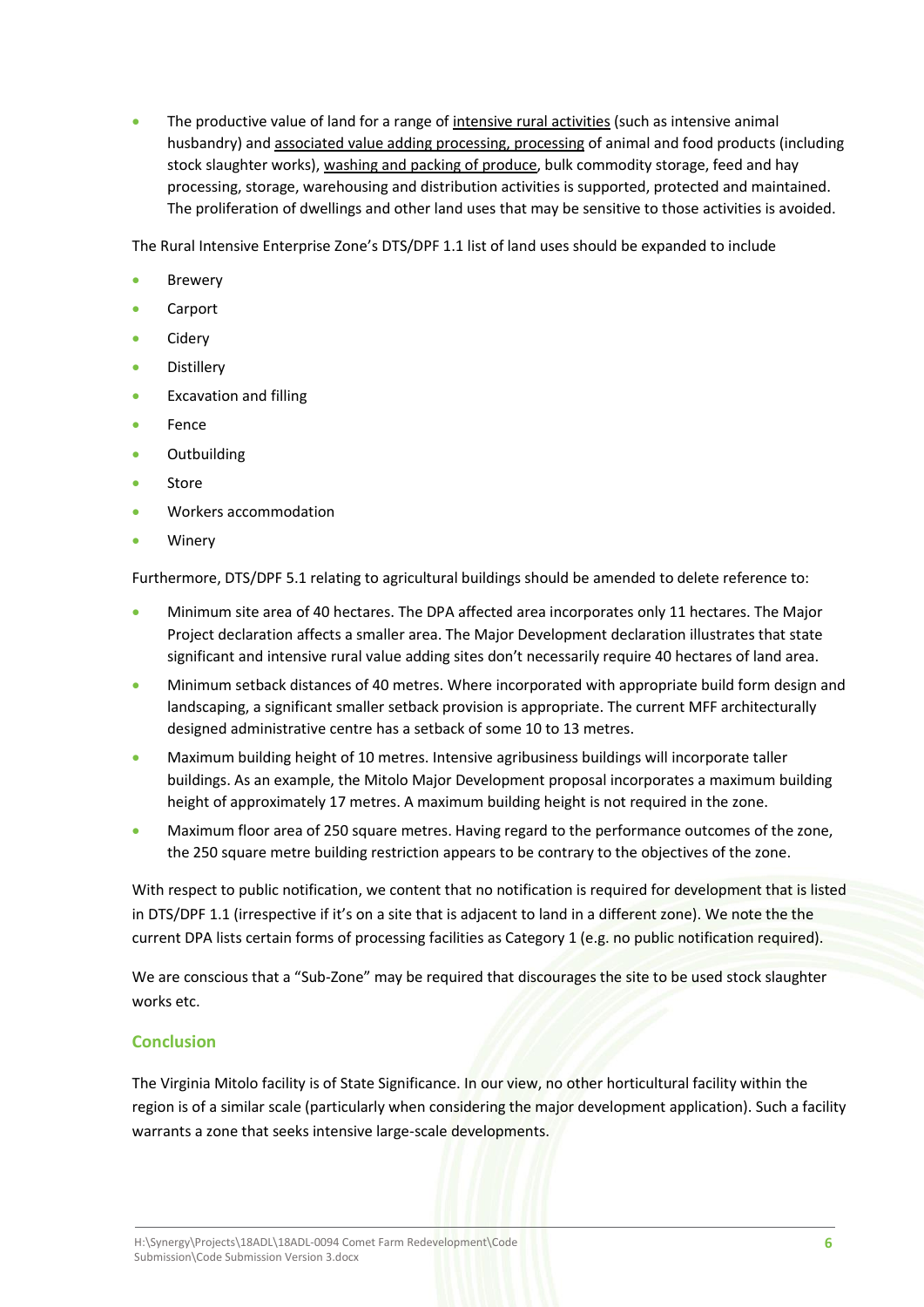• The productive value of land for a range of intensive rural activities (such as intensive animal husbandry) and associated value adding processing, processing of animal and food products (including stock slaughter works), washing and packing of produce, bulk commodity storage, feed and hay processing, storage, warehousing and distribution activities is supported, protected and maintained. The proliferation of dwellings and other land uses that may be sensitive to those activities is avoided.

The Rural Intensive Enterprise Zone's DTS/DPF 1.1 list of land uses should be expanded to include

- **Brewery**
- Carport
- Cidery
- **Distillery**
- Excavation and filling
- **Fence**
- Outbuilding
- **Store**
- Workers accommodation
- **Winery**

Furthermore, DTS/DPF 5.1 relating to agricultural buildings should be amended to delete reference to:

- Minimum site area of 40 hectares. The DPA affected area incorporates only 11 hectares. The Major Project declaration affects a smaller area. The Major Development declaration illustrates that state significant and intensive rural value adding sites don't necessarily require 40 hectares of land area.
- Minimum setback distances of 40 metres. Where incorporated with appropriate build form design and landscaping, a significant smaller setback provision is appropriate. The current MFF architecturally designed administrative centre has a setback of some 10 to 13 metres.
- Maximum building height of 10 metres. Intensive agribusiness buildings will incorporate taller buildings. As an example, the Mitolo Major Development proposal incorporates a maximum building height of approximately 17 metres. A maximum building height is not required in the zone.
- Maximum floor area of 250 square metres. Having regard to the performance outcomes of the zone, the 250 square metre building restriction appears to be contrary to the objectives of the zone.

With respect to public notification, we content that no notification is required for development that is listed in DTS/DPF 1.1 (irrespective if it's on a site that is adjacent to land in a different zone). We note the the current DPA lists certain forms of processing facilities as Category 1 (e.g. no public notification required).

We are conscious that a "Sub-Zone" may be required that discourages the site to be used stock slaughter works etc.

# **Conclusion**

The Virginia Mitolo facility is of State Significance. In our view, no other horticultural facility within the region is of a similar scale (particularly when considering the major development application). Such a facility warrants a zone that seeks intensive large-scale developments.